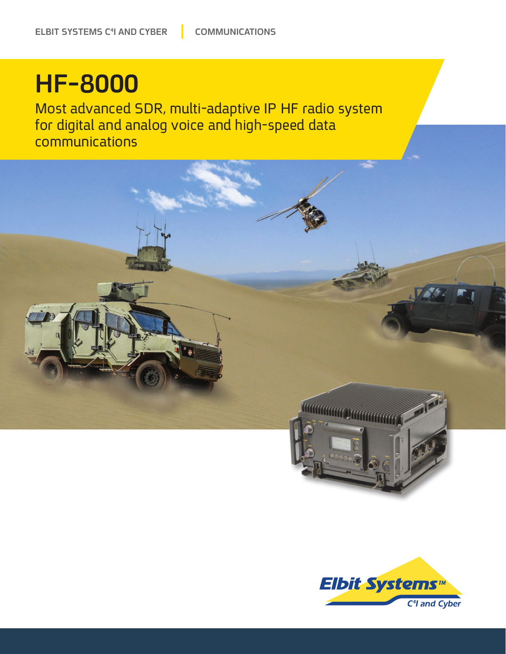## **HF-8000**

Most advanced SDR, multi-adaptive IP HF radio system for digital and analog voice and high-speed data communications



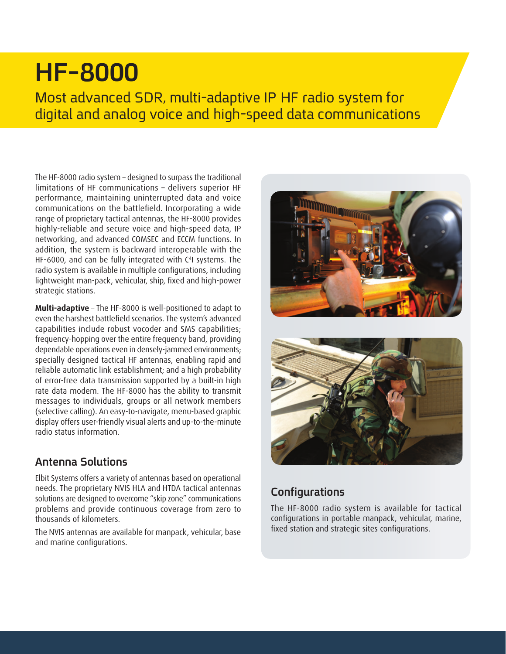### **HF-8000**

Most advanced SDR, multi-adaptive IP HF radio system for digital and analog voice and high-speed data communications

The HF-8000 radio system - designed to surpass the traditional limitations of HF communications – delivers superior HF performance, maintaining uninterrupted data and voice communications on the battlefield. Incorporating a wide range of proprietary tactical antennas, the HF-8000 provides highly-reliable and secure voice and high-speed data, IP networking, and advanced COMSEC and ECCM functions. In addition, the system is backward interoperable with the HF-6000, and can be fully integrated with  $C<sup>4</sup>$  systems. The radio system is available in multiple configurations, including lightweight man-pack, vehicular, ship, fixed and high-power strategic stations.

Multi-adaptive - The HF-8000 is well-positioned to adapt to even the harshest battlefield scenarios. The system's advanced capabilities include robust vocoder and SMS capabilities: frequency-hopping over the entire frequency band, providingdependable operations even in densely-jammed environments; specially designed tactical HF antennas, enabling rapid and reliable automatic link establishment; and a high probability of error-free data transmission supported by a built-in high rate data modem. The HF-8000 has the ability to transmit messages to individuals, groups or all network members (selective calling). An easy-to-navigate, menu-based graphic display offers user-friendly visual alerts and up-to-the-minute radio status information.

#### **Solutions Antenna**

Elbit Systems offers a variety of antennas based on operational needs. The proprietary NVIS HLA and HTDA tactical antennas solutions are designed to overcome "skip zone" communications problems and provide continuous coverage from zero to thousands of kilometers.

The NVIS antennas are available for manpack, vehicular, base and marine configurations.





#### **Configurations**

The HF-8000 radio system is available for tactical configurations in portable manpack, vehicular, marine, fixed station and strategic sites configurations.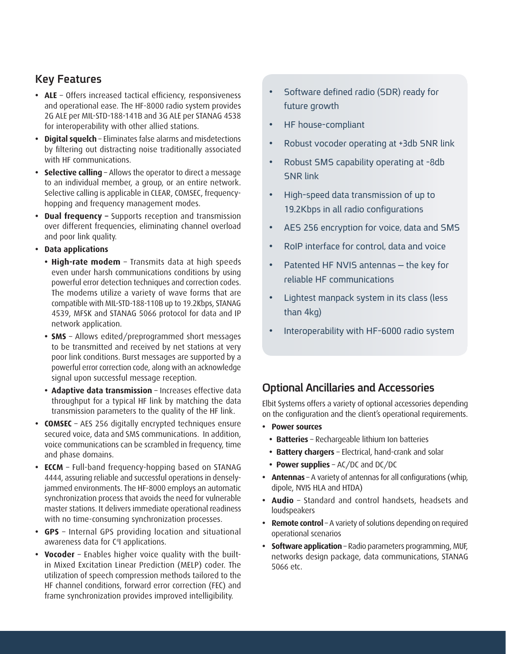#### **Key Features**

- ALE Offers increased tactical efficiency, responsiveness and operational ease. The HF-8000 radio system provides 2G ALE per MIL-STD-188-141B and 3G ALE per STANAG 4538 for interoperability with other allied stations.
- **Digital squelch** Eliminates false alarms and misdetections by filtering out distracting noise traditionally associated with HF communications.
- **Selective calling** Allows the operator to direct a message to an individual member, a group, or an entire network. hopping and frequency management modes. Selective calling is applicable in CLEAR, COMSEC, frequency-
- **Dual frequency -** Supports reception and transmission over different frequencies, eliminating channel overload and poor link quality.
- **•** Data applications
	- High-rate modem Transmits data at high speeds even under harsh communications conditions by using powerful error detection techniques and correction codes. The modems utilize a variety of wave forms that are compatible with MIL-STD-188-110B up to 19.2Kbps, STANAG 4539, MFSK and STANAG 5066 protocol for data and IP network application.
	- **SMS** Allows edited/preprogrammed short messages to be transmitted and received by net stations at very poor link conditions. Burst messages are supported by a powerful error correction code, along with an acknowledge signal upon successful message reception.
	- **Adaptive data transmission** Increases effective data throughput for a typical HF link by matching the data transmission parameters to the quality of the HF link.
- **COMSEC** AES 256 digitally encrypted techniques ensure secured voice, data and SMS communications. In addition, voice communications can be scrambled in frequency, time and phase domains.
- **ECCM** Full-band frequency-hopping based on STANAG jammed environments. The HF-8000 employs an automatic 4444, assuring reliable and successful operations in denselysynchronization process that avoids the need for vulnerable master stations. It delivers immediate operational readiness with no time-consuming synchronization processes.
- GPS Internal GPS providing location and situational awareness data for C<sup>4</sup>I applications.
- in Mixed Excitation Linear Prediction (MELP) coder. The • Vocoder - Enables higher voice quality with the builtutilization of speech compression methods tailored to the HF channel conditions, forward error correction (FEC) and frame synchronization provides improved intelligibility.
- Software defined radio (SDR) ready for future growth
- HF house-compliant
- Robust vocoder operating at +3db SNR link
- Robust SMS capability operating at -8db **SNR link**
- High-speed data transmission of up to 19.2Kbps in all radio configurations
- AES 256 encryption for voice, data and SMS
- RoIP interface for control, data and voice
- Patented HF NVIS antennas the key for reliable HF communications
- Lightest manpack system in its class (less than  $4kg$ )
- Interoperability with HF-6000 radio system

#### **Ancillaries and Accessories**

Elbit Systems offers a variety of optional accessories depending on the configuration and the client's operational requirements.

- **•** Power sources
	- Batteries Rechargeable lithium Ion batteries
	- Battery chargers Electrical, hand-crank and solar
	- **Power supplies** AC/DC and DC/DC
- Antennas A variety of antennas for all configurations (whip, dipole, NVIS HLA and HTDA)
- Audio Standard and control handsets, headsets and loudspeakers
- **Remote control** A variety of solutions depending on required operational scenarios
- **Software application** Radio parameters programming, MUF, networks design package, data communications, STANAG 5066 etc.